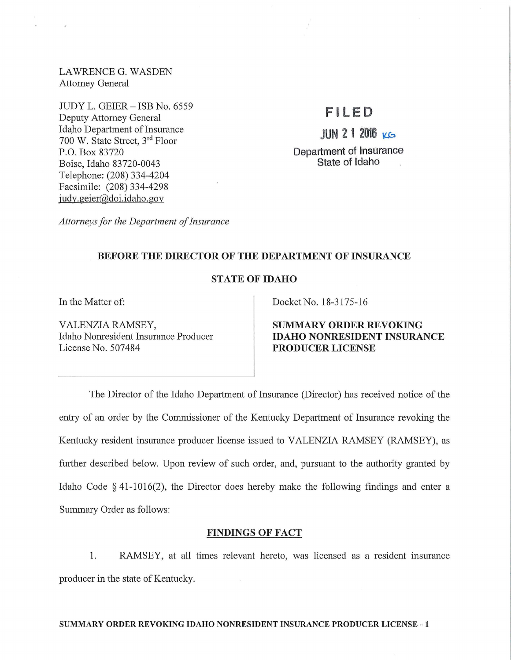LAWRENCE G. WASDEN Attorney General

JUDY L. GEIER- ISB No. 6559 Deputy Attorney General Idaho Department of Insurance 700 W. State Street, 3rd Floor P.O. Box 83720 Boise, Idaho 83720-0043 Telephone: (208) 334-4204 Facsimile: (208) 334-4298 judy.geier@doi.idaho.gov

# **F l LED**

**JUN 2 1 2016 KG** 

Department of Insurance State of Idaho

*Attorneys for the Department of Insurance* 

## BEFORE THE DIRECTOR OF THE DEPARTMENT OF INSURANCE

# STATE OF IDAHO

VALENZIA RAMSEY, Idaho Nomesident Insurance Producer License No. 507484

In the Matter of: Docket No. 18-3175-16

SUMMARY ORDER REVOKING IDAHO NONRESIDENT INSURANCE PRODUCER LICENSE

The Director of the Idaho Department of Insurance (Director) has received notice of the entry of an order by the Commissioner of the Kentucky Department of Insurance revoking the Kentucky resident insurance producer license issued to VALENZIA RAMSEY (RAMSEY), as further described below. Upon review of such order, and, pursuant to the authority granted by Idaho Code § 41-1016(2), the Director does hereby make the following findings and enter a Summary Order as follows:

## FINDINGS OF FACT

1. RAMSEY, at all times relevant hereto, was licensed as a resident insurance producer in the state of Kentucky.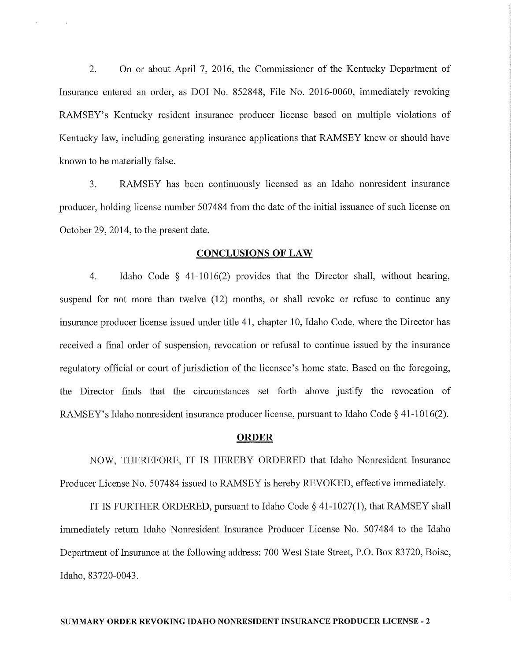2. On or about April 7, 2016, the Commissioner of the Kentucky Department of Insurance entered an order, as DOI No. 852848, File No. 2016-0060, immediately revoking RAMSEY's Kentucky resident insurance producer license based on multiple violations of Kentucky law, including generating insurance applications that RAMSEY knew or should have known to be materially false.

3. RAMSEY has been continuously licensed as an Idaho nonresident insurance producer, holding license number 507484 from the date of the initial issuance of such license on October 29, 2014, to the present date.

#### **CONCLUSIONS OF LAW**

4. Idaho Code § 41-1016(2) provides that the Director shall, without hearing, suspend for not more than twelve (12) months, or shall revoke or refuse to continue any insurance producer license issued under title 41, chapter 10, Idaho Code, where the Director has received a final order of suspension, revocation or refusal to continue issued by the insurance regulatory official or court of jurisdiction of the licensee's home state. Based on the foregoing, the Director finds that the circumstances set forth above justify the revocation of RAMSEY's Idaho nonresident insurance producer license, pursuant to Idaho Code  $\S$  41-1016(2).

## **ORDER**

NOW, THEREFORE, IT IS HEREBY ORDERED that Idaho Nonresident Insurance Producer License No. 507484 issued to RAMSEY is hereby REVOKED, effective immediately.

IT IS FURTHER ORDERED, pursuant to Idaho Code§ 41-1027(1), that RAMSEY shall immediately return Idaho Nonresident Insurance Producer License No. 507484 to the Idaho Department of Insurance at the following address: 700 West State Street, P.O. Box 83720, Boise, Idaho, 83720-0043.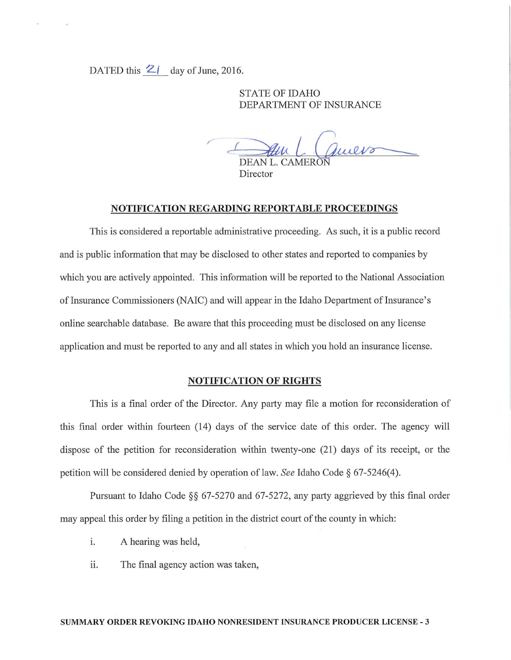DATED this  $2/$  day of June, 2016.

STATE OF IDAHO DEPARTMENT OF INSURANCE

 $\frac{du}{DEANL}$ Director L. CAMERON O<br>FINSURANCE

#### NOTIFICATION REGARDING REPORTABLE PROCEEDINGS

This is considered a reportable administrative proceeding. As such, it is a public record and is public information that may be disclosed to other states and reported to companies by which you are actively appointed. This information will be reported to the National Association of Insurance Commissioners (NAIC) and will appear in the Idaho Department of Insurance's online searchable database. Be aware that this proceeding must be disclosed on any license application and must be reported to any and all states in which you hold an insurance license.

## NOTIFICATION OF RIGHTS

This is a final order of the Director. Any party may file a motion for reconsideration of this final order within fourteen (14) days of the service date of this order. The agency will dispose of the petition for reconsideration within twenty-one (21) days of its receipt, or the petition will be considered denied by operation oflaw. *See* Idaho Code§ 67-5246(4).

Pursuant to Idaho Code §§ 67-5270 and 67-5272, any party aggrieved by this final order may appeal this order by filing a petition in the district court of the county in which:

- i. A hearing was held,
- ii. The final agency action was taken,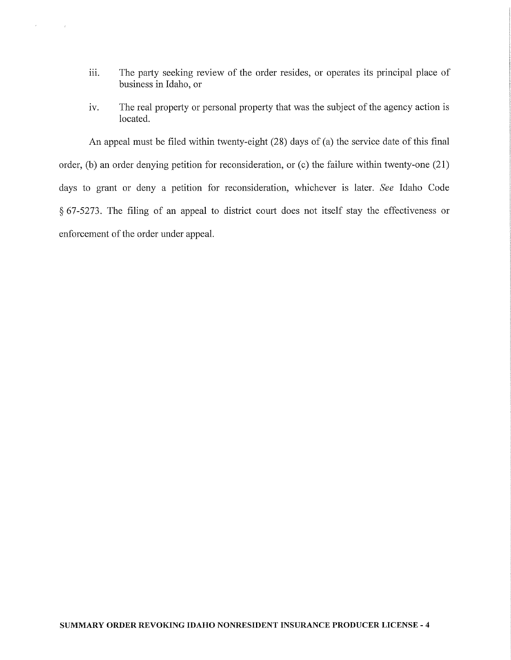iii. The party seeking review of the order resides, or operates its principal place of business in Idaho, or

 $_{\rm p}$ 

 $\sim$   $^{-1}$ 

iv. The real property or personal property that was the subject of the agency action is located.

An appeal must be filed within twenty-eight (28) days of (a) the service date of this final order, (b) an order denying petition for reconsideration, or (c) the failure within twenty-one (21) days to grant or deny a petition for reconsideration, whichever is later. *See* Idaho Code  $§ 67-5273$ . The filing of an appeal to district court does not itself stay the effectiveness or enforcement of the order under appeal.